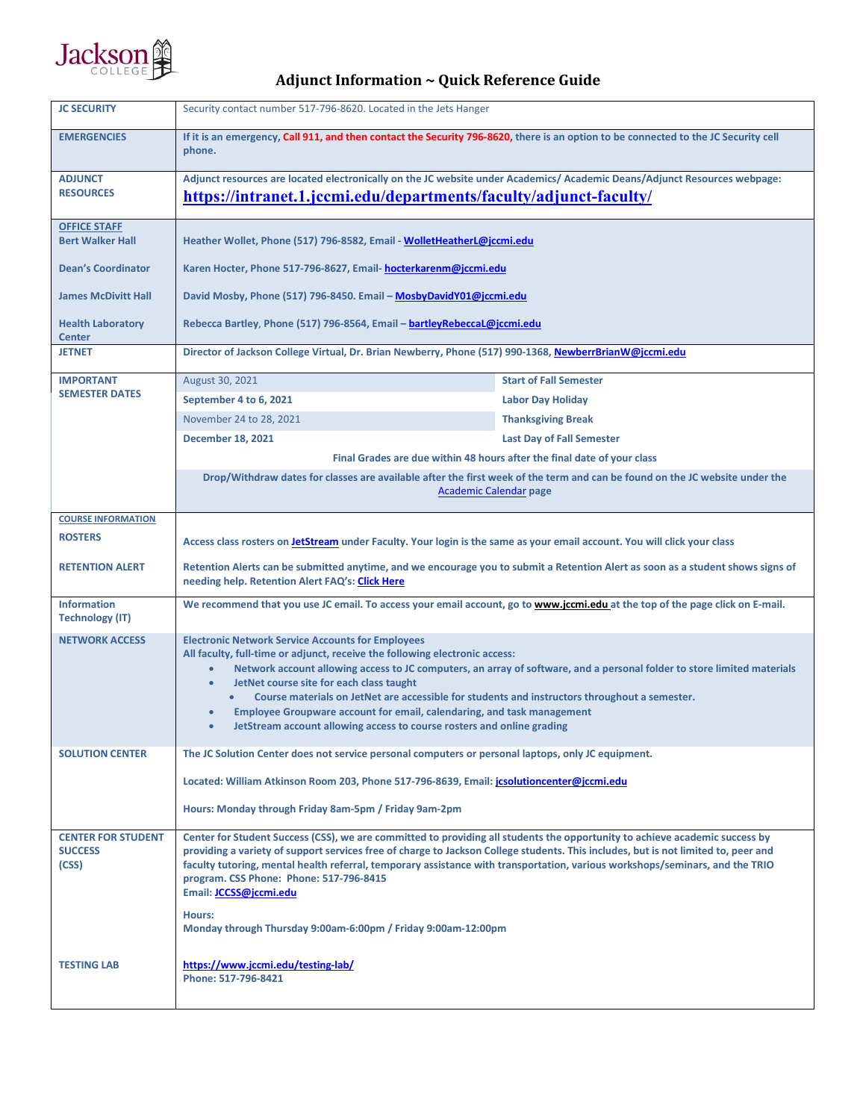

## **Adjunct Information ~ Quick Reference Guide**

| <b>JC SECURITY</b>                                   | Security contact number 517-796-8620. Located in the Jets Hanger                                                                                                                                                                                                                                                                                                                                                                                                                                                                                                                              |                                  |  |
|------------------------------------------------------|-----------------------------------------------------------------------------------------------------------------------------------------------------------------------------------------------------------------------------------------------------------------------------------------------------------------------------------------------------------------------------------------------------------------------------------------------------------------------------------------------------------------------------------------------------------------------------------------------|----------------------------------|--|
| <b>EMERGENCIES</b>                                   | If it is an emergency, Call 911, and then contact the Security 796-8620, there is an option to be connected to the JC Security cell<br>phone.                                                                                                                                                                                                                                                                                                                                                                                                                                                 |                                  |  |
| <b>ADJUNCT</b><br><b>RESOURCES</b>                   | Adjunct resources are located electronically on the JC website under Academics/ Academic Deans/Adjunct Resources webpage:<br>https://intranet.1.jccmi.edu/departments/faculty/adjunct-faculty/                                                                                                                                                                                                                                                                                                                                                                                                |                                  |  |
|                                                      |                                                                                                                                                                                                                                                                                                                                                                                                                                                                                                                                                                                               |                                  |  |
| <b>OFFICE STAFF</b><br><b>Bert Walker Hall</b>       | Heather Wollet, Phone (517) 796-8582, Email - WolletHeatherL@jccmi.edu                                                                                                                                                                                                                                                                                                                                                                                                                                                                                                                        |                                  |  |
| <b>Dean's Coordinator</b>                            | Karen Hocter, Phone 517-796-8627, Email- hocterkarenm@jccmi.edu                                                                                                                                                                                                                                                                                                                                                                                                                                                                                                                               |                                  |  |
| <b>James McDivitt Hall</b>                           | David Mosby, Phone (517) 796-8450. Email – MosbyDavidY01@jccmi.edu                                                                                                                                                                                                                                                                                                                                                                                                                                                                                                                            |                                  |  |
| <b>Health Laboratory</b><br><b>Center</b>            | Rebecca Bartley, Phone (517) 796-8564, Email – bartleyRebeccaL@jccmi.edu                                                                                                                                                                                                                                                                                                                                                                                                                                                                                                                      |                                  |  |
| <b>JETNET</b>                                        | Director of Jackson College Virtual, Dr. Brian Newberry, Phone (517) 990-1368, NewberrBrianW@jccmi.edu                                                                                                                                                                                                                                                                                                                                                                                                                                                                                        |                                  |  |
| <b>IMPORTANT</b><br><b>SEMESTER DATES</b>            | August 30, 2021                                                                                                                                                                                                                                                                                                                                                                                                                                                                                                                                                                               | <b>Start of Fall Semester</b>    |  |
|                                                      | September 4 to 6, 2021                                                                                                                                                                                                                                                                                                                                                                                                                                                                                                                                                                        | <b>Labor Day Holiday</b>         |  |
|                                                      | November 24 to 28, 2021                                                                                                                                                                                                                                                                                                                                                                                                                                                                                                                                                                       | <b>Thanksgiving Break</b>        |  |
|                                                      | <b>December 18, 2021</b>                                                                                                                                                                                                                                                                                                                                                                                                                                                                                                                                                                      | <b>Last Day of Fall Semester</b> |  |
|                                                      | Final Grades are due within 48 hours after the final date of your class                                                                                                                                                                                                                                                                                                                                                                                                                                                                                                                       |                                  |  |
|                                                      | Drop/Withdraw dates for classes are available after the first week of the term and can be found on the JC website under the<br><b>Academic Calendar page</b>                                                                                                                                                                                                                                                                                                                                                                                                                                  |                                  |  |
| <b>COURSE INFORMATION</b>                            |                                                                                                                                                                                                                                                                                                                                                                                                                                                                                                                                                                                               |                                  |  |
| <b>ROSTERS</b>                                       | Access class rosters on <b>JetStream</b> under Faculty. Your login is the same as your email account. You will click your class                                                                                                                                                                                                                                                                                                                                                                                                                                                               |                                  |  |
| <b>RETENTION ALERT</b>                               | Retention Alerts can be submitted anytime, and we encourage you to submit a Retention Alert as soon as a student shows signs of<br>needing help. Retention Alert FAQ's: Click Here                                                                                                                                                                                                                                                                                                                                                                                                            |                                  |  |
| <b>Information</b><br><b>Technology (IT)</b>         | We recommend that you use JC email. To access your email account, go to www.jccmi.edu at the top of the page click on E-mail.                                                                                                                                                                                                                                                                                                                                                                                                                                                                 |                                  |  |
| <b>NETWORK ACCESS</b>                                | <b>Electronic Network Service Accounts for Employees</b><br>All faculty, full-time or adjunct, receive the following electronic access:<br>Network account allowing access to JC computers, an array of software, and a personal folder to store limited materials<br>JetNet course site for each class taught<br>$\bullet$<br>Course materials on JetNet are accessible for students and instructors throughout a semester.<br>Employee Groupware account for email, calendaring, and task management<br>JetStream account allowing access to course rosters and online grading<br>$\bullet$ |                                  |  |
| <b>SOLUTION CENTER</b>                               | The JC Solution Center does not service personal computers or personal laptops, only JC equipment.<br>Located: William Atkinson Room 203, Phone 517-796-8639, Email: jcsolutioncenter@jccmi.edu<br>Hours: Monday through Friday 8am-5pm / Friday 9am-2pm                                                                                                                                                                                                                                                                                                                                      |                                  |  |
|                                                      |                                                                                                                                                                                                                                                                                                                                                                                                                                                                                                                                                                                               |                                  |  |
|                                                      |                                                                                                                                                                                                                                                                                                                                                                                                                                                                                                                                                                                               |                                  |  |
| <b>CENTER FOR STUDENT</b><br><b>SUCCESS</b><br>(CSS) | Center for Student Success (CSS), we are committed to providing all students the opportunity to achieve academic success by<br>providing a variety of support services free of charge to Jackson College students. This includes, but is not limited to, peer and<br>faculty tutoring, mental health referral, temporary assistance with transportation, various workshops/seminars, and the TRIO<br>program. CSS Phone: Phone: 517-796-8415<br>Email: <b>JCCSS@jccmi.edu</b><br>Hours:<br>Monday through Thursday 9:00am-6:00pm / Friday 9:00am-12:00pm                                      |                                  |  |
| <b>TESTING LAB</b>                                   | https://www.jccmi.edu/testing-lab/<br>Phone: 517-796-8421                                                                                                                                                                                                                                                                                                                                                                                                                                                                                                                                     |                                  |  |